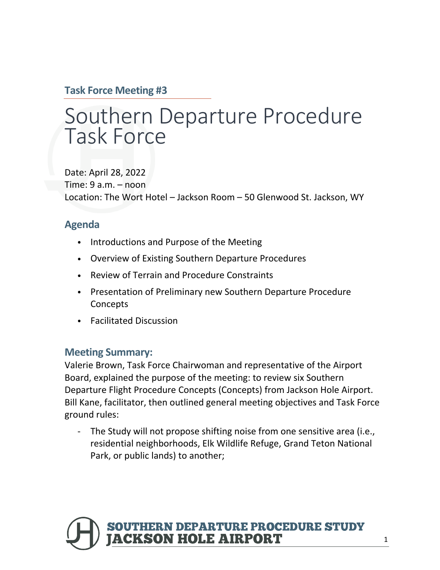## **Task Force Meeting #3**

# Southern Departure Procedure Task Force

Date: April 28, 2022  $Time: 9 a.m. - noon$ Location: The Wort Hotel – Jackson Room – 50 Glenwood St. Jackson, WY

### **Agenda**

- Introductions and Purpose of the Meeting
- Overview of Existing Southern Departure Procedures
- Review of Terrain and Procedure Constraints
- Presentation of Preliminary new Southern Departure Procedure Concepts
- Facilitated Discussion

#### **Meeting Summary:**

Valerie Brown, Task Force Chairwoman and representative of the Airport Board, explained the purpose of the meeting: to review six Southern Departure Flight Procedure Concepts (Concepts) from Jackson Hole Airport. Bill Kane, facilitator, then outlined general meeting objectives and Task Force ground rules:

The Study will not propose shifting noise from one sensitive area (i.e., residential neighborhoods, Elk Wildlife Refuge, Grand Teton National Park, or public lands) to another;

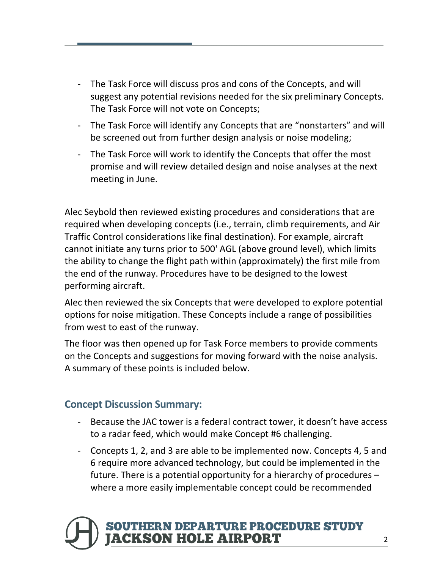- The Task Force will discuss pros and cons of the Concepts, and will suggest any potential revisions needed for the six preliminary Concepts. The Task Force will not vote on Concepts;
- The Task Force will identify any Concepts that are "nonstarters" and will be screened out from further design analysis or noise modeling;
- The Task Force will work to identify the Concepts that offer the most promise and will review detailed design and noise analyses at the next meeting in June.

Alec Seybold then reviewed existing procedures and considerations that are required when developing concepts (i.e., terrain, climb requirements, and Air Traffic Control considerations like final destination). For example, aircraft cannot initiate any turns prior to 500' AGL (above ground level), which limits the ability to change the flight path within (approximately) the first mile from the end of the runway. Procedures have to be designed to the lowest performing aircraft.

Alec then reviewed the six Concepts that were developed to explore potential options for noise mitigation. These Concepts include a range of possibilities from west to east of the runway.

The floor was then opened up for Task Force members to provide comments on the Concepts and suggestions for moving forward with the noise analysis. A summary of these points is included below.

#### **Concept Discussion Summary:**

- Because the JAC tower is a federal contract tower, it doesn't have access to a radar feed, which would make Concept #6 challenging.
- Concepts 1, 2, and 3 are able to be implemented now. Concepts 4, 5 and 6 require more advanced technology, but could be implemented in the future. There is a potential opportunity for a hierarchy of procedures – where a more easily implementable concept could be recommended

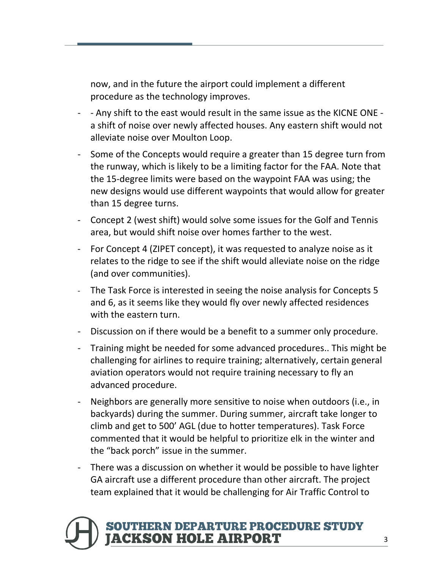now, and in the future the airport could implement a different procedure as the technology improves.

- - Any shift to the east would result in the same issue as the KICNE ONE a shift of noise over newly affected houses. Any eastern shift would not alleviate noise over Moulton Loop.
- Some of the Concepts would require a greater than 15 degree turn from the runway, which is likely to be a limiting factor for the FAA. Note that the 15-degree limits were based on the waypoint FAA was using; the new designs would use different waypoints that would allow for greater than 15 degree turns.
- Concept 2 (west shift) would solve some issues for the Golf and Tennis area, but would shift noise over homes farther to the west.
- For Concept 4 (ZIPET concept), it was requested to analyze noise as it relates to the ridge to see if the shift would alleviate noise on the ridge (and over communities).
- The Task Force is interested in seeing the noise analysis for Concepts 5 and 6, as it seems like they would fly over newly affected residences with the eastern turn.
- Discussion on if there would be a benefit to a summer only procedure.
- Training might be needed for some advanced procedures.. This might be challenging for airlines to require training; alternatively, certain general aviation operators would not require training necessary to fly an advanced procedure.
- Neighbors are generally more sensitive to noise when outdoors (i.e., in backyards) during the summer. During summer, aircraft take longer to climb and get to 500' AGL (due to hotter temperatures). Task Force commented that it would be helpful to prioritize elk in the winter and the "back porch" issue in the summer.
- There was a discussion on whether it would be possible to have lighter GA aircraft use a different procedure than other aircraft. The project team explained that it would be challenging for Air Traffic Control to

# SOUTHERN DEPARTURE PROCEDURE STUDY **JACKSON HOLE AIRPORT**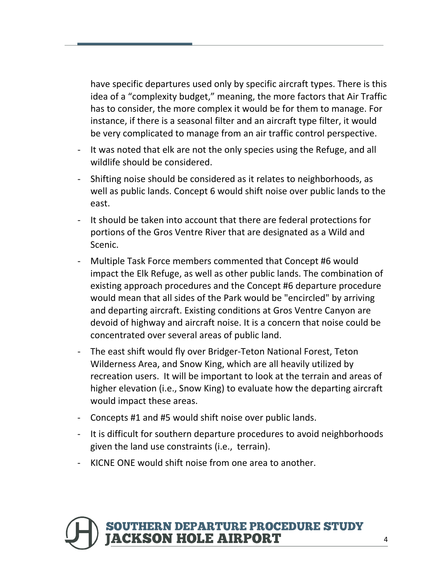have specific departures used only by specific aircraft types. There is this idea of a "complexity budget," meaning, the more factors that Air Traffic has to consider, the more complex it would be for them to manage. For instance, if there is a seasonal filter and an aircraft type filter, it would be very complicated to manage from an air traffic control perspective.

- It was noted that elk are not the only species using the Refuge, and all wildlife should be considered.
- Shifting noise should be considered as it relates to neighborhoods, as well as public lands. Concept 6 would shift noise over public lands to the east.
- It should be taken into account that there are federal protections for portions of the Gros Ventre River that are designated as a Wild and Scenic.
- Multiple Task Force members commented that Concept #6 would impact the Elk Refuge, as well as other public lands. The combination of existing approach procedures and the Concept #6 departure procedure would mean that all sides of the Park would be "encircled" by arriving and departing aircraft. Existing conditions at Gros Ventre Canyon are devoid of highway and aircraft noise. It is a concern that noise could be concentrated over several areas of public land.
- The east shift would fly over Bridger-Teton National Forest, Teton Wilderness Area, and Snow King, which are all heavily utilized by recreation users. It will be important to look at the terrain and areas of higher elevation (i.e., Snow King) to evaluate how the departing aircraft would impact these areas.
- Concepts #1 and #5 would shift noise over public lands.
- It is difficult for southern departure procedures to avoid neighborhoods given the land use constraints (i.e., terrain).
- KICNE ONE would shift noise from one area to another.

## **SOUTHERN DEPARTURE PROCEDURE STUDY JACKSON HOLE AIRPORT**